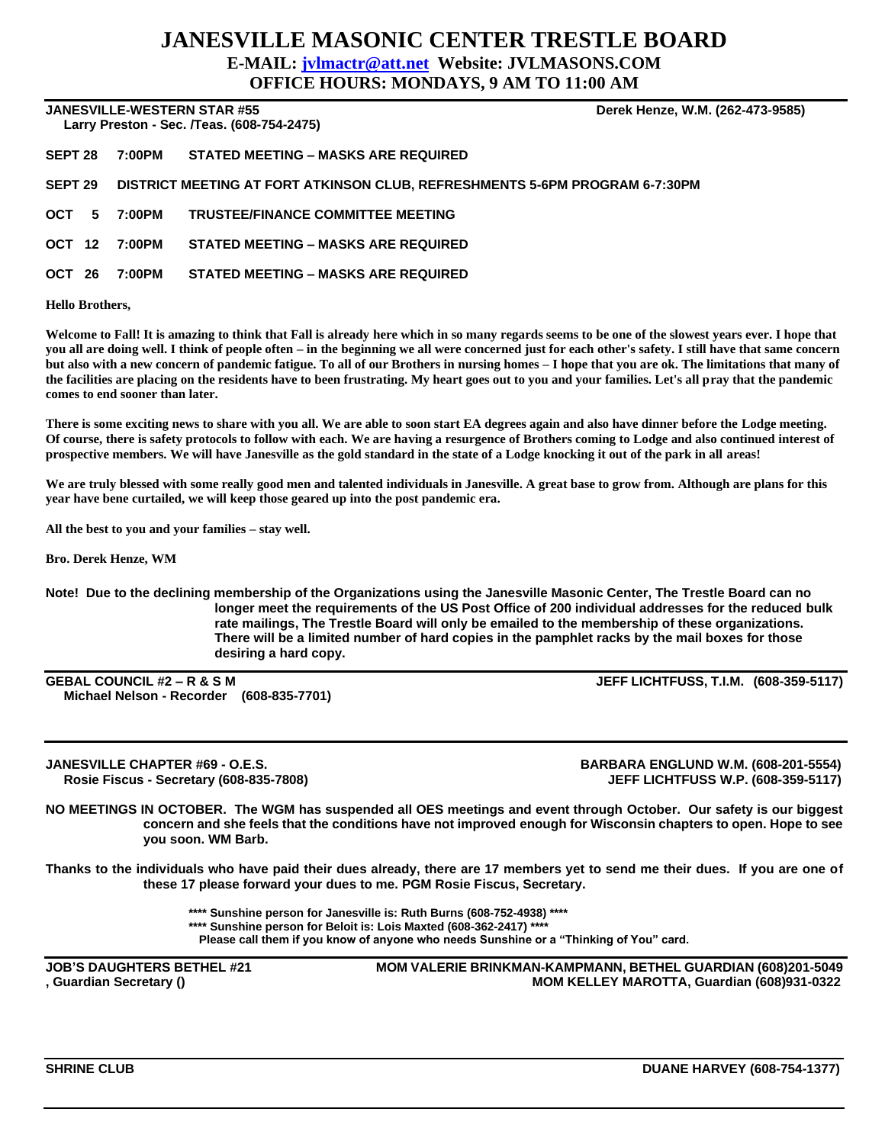# **JANESVILLE MASONIC CENTER TRESTLE BOARD**

**E-MAIL: [jvlmactr@att.net](mailto:jvlmactr@att.net) Website: JVLMASONS.COM**

**OFFICE HOURS: MONDAYS, 9 AM TO 11:00 AM**

#### **JANESVILLE-WESTERN STAR #55 Derek Henze, W.M. (262-473-9585)**

| Larry Preston - Sec. /Teas. (608-754-2475) |   |        |                                                                                    |  |  |  |  |
|--------------------------------------------|---|--------|------------------------------------------------------------------------------------|--|--|--|--|
| <b>SEPT 28</b>                             |   | 7:00PM | <b>STATED MEETING – MASKS ARE REQUIRED</b>                                         |  |  |  |  |
| SEPT 29                                    |   |        | <b>DISTRICT MEETING AT FORT ATKINSON CLUB, REFRESHMENTS 5-6PM PROGRAM 6-7:30PM</b> |  |  |  |  |
| OCT                                        | 5 | 7:00PM | <b>TRUSTEE/FINANCE COMMITTEE MEETING</b>                                           |  |  |  |  |
| OCT 12                                     |   | 7:00PM | STATED MEETING – MASKS ARE REQUIRED                                                |  |  |  |  |
| OCT 26                                     |   | 7:00PM | <b>STATED MEETING – MASKS ARE REQUIRED</b>                                         |  |  |  |  |

#### **Hello Brothers,**

**Welcome to Fall! It is amazing to think that Fall is already here which in so many regards seems to be one of the slowest years ever. I hope that you all are doing well. I think of people often – in the beginning we all were concerned just for each other's safety. I still have that same concern but also with a new concern of pandemic fatigue. To all of our Brothers in nursing homes – I hope that you are ok. The limitations that many of the facilities are placing on the residents have to been frustrating. My heart goes out to you and your families. Let's all pray that the pandemic comes to end sooner than later.**

**There is some exciting news to share with you all. We are able to soon start EA degrees again and also have dinner before the Lodge meeting. Of course, there is safety protocols to follow with each. We are having a resurgence of Brothers coming to Lodge and also continued interest of prospective members. We will have Janesville as the gold standard in the state of a Lodge knocking it out of the park in all areas!**

**We are truly blessed with some really good men and talented individuals in Janesville. A great base to grow from. Although are plans for this year have bene curtailed, we will keep those geared up into the post pandemic era.**

**All the best to you and your families – stay well.**

**Bro. Derek Henze, WM**

**Note! Due to the declining membership of the Organizations using the Janesville Masonic Center, The Trestle Board can no longer meet the requirements of the US Post Office of 200 individual addresses for the reduced bulk rate mailings, The Trestle Board will only be emailed to the membership of these organizations. There will be a limited number of hard copies in the pamphlet racks by the mail boxes for those desiring a hard copy.**

| <b>GEBAL COUNCIL #2 – R &amp; S M</b>    |  |
|------------------------------------------|--|
| Michael Nelson - Recorder (608-835-7701) |  |

**GEBAL COUNCIL #2 – R & S M JEFF LICHTFUSS, T.I.M. (608-359-5117)**

**JANESVILLE CHAPTER #69 - O.E.S. BARBARA ENGLUND W.M. (608-201-5554) Rosie Fiscus - Secretary (608-835-7808)** 

**NO MEETINGS IN OCTOBER. The WGM has suspended all OES meetings and event through October. Our safety is our biggest concern and she feels that the conditions have not improved enough for Wisconsin chapters to open. Hope to see you soon. WM Barb.**

**Thanks to the individuals who have paid their dues already, there are 17 members yet to send me their dues. If you are one of these 17 please forward your dues to me. PGM Rosie Fiscus, Secretary.**

> **\*\*\*\* Sunshine person for Janesville is: Ruth Burns (608-752-4938) \*\*\*\* \*\*\*\* Sunshine person for Beloit is: Lois Maxted (608-362-2417) \*\*\*\***

**Please call them if you know of anyone who needs Sunshine or a "Thinking of You" card.**

**JOB'S DAUGHTERS BETHEL #21 MOM VALERIE BRINKMAN-KAMPMANN, BETHEL GUARDIAN (608)201-5049 , Guardian Secretary () MOM KELLEY MAROTTA, Guardian (608)931-0322**

**SHRINE CLUB CLUB CLUB DUANE HARVEY (608-754-1377)**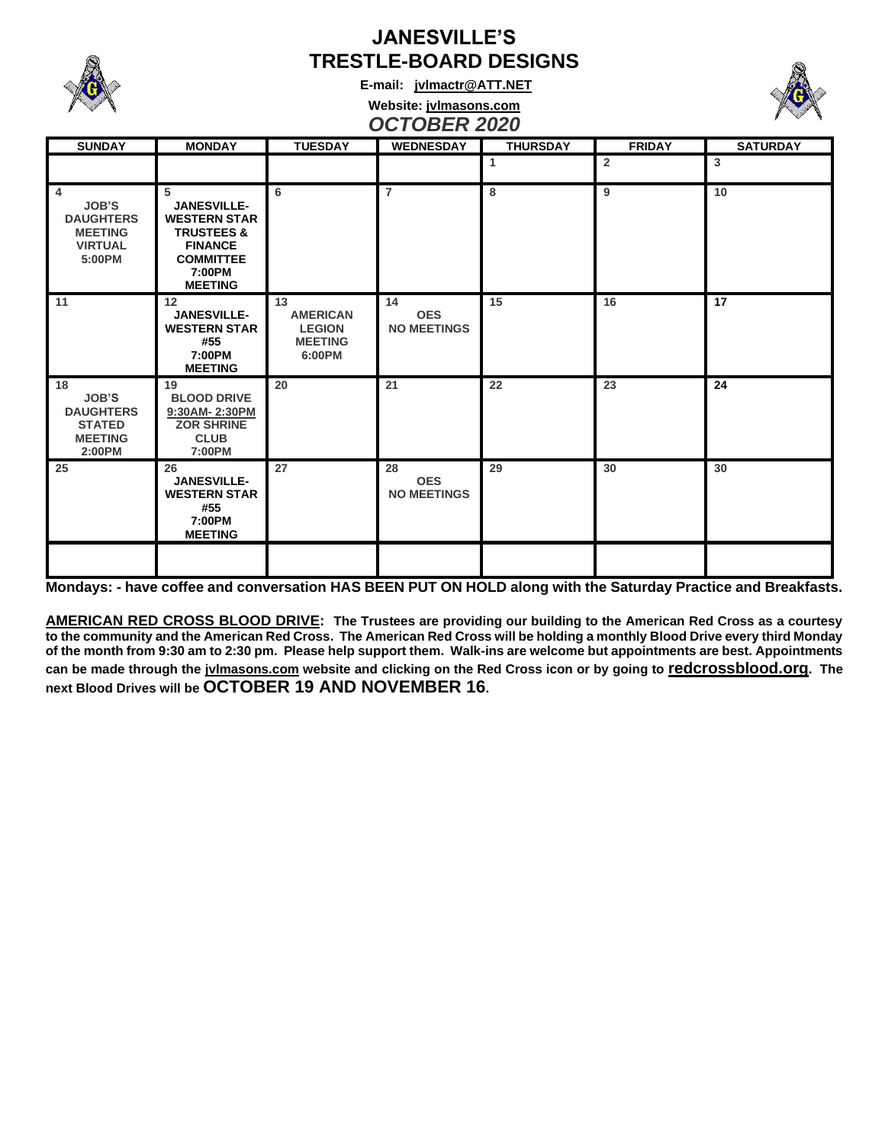

## **JANESVILLE'S TRESTLE-BOARD DESIGNS**

**E-mail: [jvlmactr@ATT.NET](mailto:jvlmactr@ATT.NET)**



**Website: jvlmasons.com**

| <b>INCREAD IN BRITIS'S AND IN</b> |  |
|-----------------------------------|--|
| <b>OCTOBER 2020</b>               |  |
|                                   |  |

| <b>SUNDAY</b>                                                                                    | <b>MONDAY</b>                                                                                                                             | <b>TUESDAY</b>                                                     | <b>WEDNESDAY</b>                       | <b>THURSDAY</b> | <b>FRIDAY</b>  | <b>SATURDAY</b> |
|--------------------------------------------------------------------------------------------------|-------------------------------------------------------------------------------------------------------------------------------------------|--------------------------------------------------------------------|----------------------------------------|-----------------|----------------|-----------------|
|                                                                                                  |                                                                                                                                           |                                                                    |                                        | $\mathbf{1}$    | $\overline{2}$ | 3               |
| $\overline{4}$<br><b>JOB'S</b><br><b>DAUGHTERS</b><br><b>MEETING</b><br><b>VIRTUAL</b><br>5:00PM | 5<br><b>JANESVILLE-</b><br><b>WESTERN STAR</b><br><b>TRUSTEES &amp;</b><br><b>FINANCE</b><br><b>COMMITTEE</b><br>7:00PM<br><b>MEETING</b> | 6                                                                  | $\overline{7}$                         | 8               | 9              | 10              |
| 11                                                                                               | 12<br><b>JANESVILLE-</b><br><b>WESTERN STAR</b><br>#55<br>7:00PM<br><b>MEETING</b>                                                        | 13<br><b>AMERICAN</b><br><b>LEGION</b><br><b>MEETING</b><br>6:00PM | 14<br><b>OES</b><br><b>NO MEETINGS</b> | 15              | 16             | 17              |
| 18<br><b>JOB'S</b><br><b>DAUGHTERS</b><br><b>STATED</b><br><b>MEETING</b><br>2:00PM              | 19<br><b>BLOOD DRIVE</b><br>9:30AM-2:30PM<br><b>ZOR SHRINE</b><br><b>CLUB</b><br>7:00PM                                                   | 20                                                                 | 21                                     | 22              | 23             | 24              |
| 25                                                                                               | 26<br><b>JANESVILLE-</b><br><b>WESTERN STAR</b><br>#55<br>7:00PM<br><b>MEETING</b>                                                        | 27                                                                 | 28<br><b>OES</b><br><b>NO MEETINGS</b> | 29              | 30             | 30              |
|                                                                                                  |                                                                                                                                           |                                                                    |                                        |                 |                |                 |

**Mondays: - have coffee and conversation HAS BEEN PUT ON HOLD along with the Saturday Practice and Breakfasts.**

**AMERICAN RED CROSS BLOOD DRIVE: The Trustees are providing our building to the American Red Cross as a courtesy to the community and the American Red Cross. The American Red Cross will be holding a monthly Blood Drive every third Monday of the month from 9:30 am to 2:30 pm. Please help support them. Walk-ins are welcome but appointments are best. Appointments can be made through the jvlmasons.com website and clicking on the Red Cross icon or by going to redcrossblood.org. The next Blood Drives will be OCTOBER 19 AND NOVEMBER 16.**